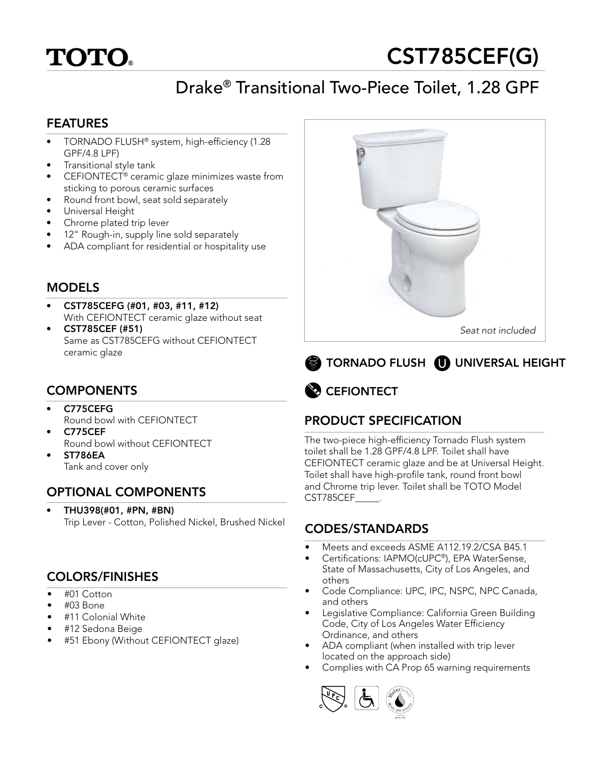

# CST785CEF(G)

# Drake® Transitional Two-Piece Toilet, 1.28 GPF

### FEATURES

- TORNADO FLUSH® system, high-efficiency (1.28 GPF/4.8 LPF)
- Transitional style tank
- CEFIONTECT<sup>®</sup> ceramic glaze minimizes waste from sticking to porous ceramic surfaces
- Round front bowl, seat sold separately
- Universal Height
- Chrome plated trip lever
- 12" Rough-in, supply line sold separately
- ADA compliant for residential or hospitality use

### **MODELS**

- CST785CEFG (#01, #03, #11, #12) With CEFIONTECT ceramic glaze without seat
- CST785CEF (#51) Same as CST785CEFG without CEFIONTECT ceramic glaze

### **COMPONENTS**

- C775CEFG Round bowl with CEFIONTECT
- C775CEF Round bowl without CEFIONTECT
- ST786EA Tank and cover only

## OPTIONAL COMPONENTS

• THU398(#01, #PN, #BN) Trip Lever - Cotton, Polished Nickel, Brushed Nickel

### COLORS/FINISHES

- #01 Cotton
- #03 Bone
- #11 Colonial White
- #12 Sedona Beige
- #51 Ebony (Without CEFIONTECT glaze)





# **EFIONTECT**

# PRODUCT SPECIFICATION

The two-piece high-efficiency Tornado Flush system toilet shall be 1.28 GPF/4.8 LPF. Toilet shall have CEFIONTECT ceramic glaze and be at Universal Height. Toilet shall have high-profile tank, round front bowl and Chrome trip lever. Toilet shall be TOTO Model CST785CEF\_\_\_\_\_.

### CODES/STANDARDS

- Meets and exceeds ASME A112.19.2/CSA B45.1
- Certifications: IAPMO(cUPC®), EPA WaterSense, State of Massachusetts, City of Los Angeles, and others
- Code Compliance: UPC, IPC, NSPC, NPC Canada, and others
- Legislative Compliance: California Green Building Code, City of Los Angeles Water Efficiency Ordinance, and others
- ADA compliant (when installed with trip lever located on the approach side)
- Complies with CA Prop 65 warning requirements